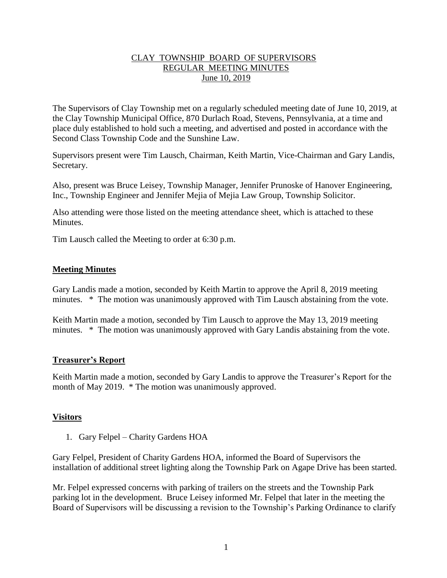# CLAY TOWNSHIP BOARD OF SUPERVISORS REGULAR MEETING MINUTES June 10, 2019

The Supervisors of Clay Township met on a regularly scheduled meeting date of June 10, 2019, at the Clay Township Municipal Office, 870 Durlach Road, Stevens, Pennsylvania, at a time and place duly established to hold such a meeting, and advertised and posted in accordance with the Second Class Township Code and the Sunshine Law.

Supervisors present were Tim Lausch, Chairman, Keith Martin, Vice-Chairman and Gary Landis, Secretary.

Also, present was Bruce Leisey, Township Manager, Jennifer Prunoske of Hanover Engineering, Inc., Township Engineer and Jennifer Mejia of Mejia Law Group, Township Solicitor.

Also attending were those listed on the meeting attendance sheet, which is attached to these **Minutes** 

Tim Lausch called the Meeting to order at 6:30 p.m.

# **Meeting Minutes**

Gary Landis made a motion, seconded by Keith Martin to approve the April 8, 2019 meeting minutes. \* The motion was unanimously approved with Tim Lausch abstaining from the vote.

Keith Martin made a motion, seconded by Tim Lausch to approve the May 13, 2019 meeting minutes. \* The motion was unanimously approved with Gary Landis abstaining from the vote.

### **Treasurer's Report**

Keith Martin made a motion, seconded by Gary Landis to approve the Treasurer's Report for the month of May 2019. \* The motion was unanimously approved.

### **Visitors**

1. Gary Felpel – Charity Gardens HOA

Gary Felpel, President of Charity Gardens HOA, informed the Board of Supervisors the installation of additional street lighting along the Township Park on Agape Drive has been started.

Mr. Felpel expressed concerns with parking of trailers on the streets and the Township Park parking lot in the development. Bruce Leisey informed Mr. Felpel that later in the meeting the Board of Supervisors will be discussing a revision to the Township's Parking Ordinance to clarify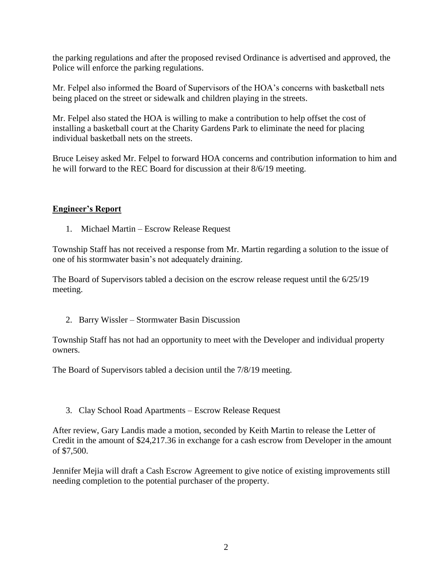the parking regulations and after the proposed revised Ordinance is advertised and approved, the Police will enforce the parking regulations.

Mr. Felpel also informed the Board of Supervisors of the HOA's concerns with basketball nets being placed on the street or sidewalk and children playing in the streets.

Mr. Felpel also stated the HOA is willing to make a contribution to help offset the cost of installing a basketball court at the Charity Gardens Park to eliminate the need for placing individual basketball nets on the streets.

Bruce Leisey asked Mr. Felpel to forward HOA concerns and contribution information to him and he will forward to the REC Board for discussion at their 8/6/19 meeting.

# **Engineer's Report**

1. Michael Martin – Escrow Release Request

Township Staff has not received a response from Mr. Martin regarding a solution to the issue of one of his stormwater basin's not adequately draining.

The Board of Supervisors tabled a decision on the escrow release request until the 6/25/19 meeting.

2. Barry Wissler – Stormwater Basin Discussion

Township Staff has not had an opportunity to meet with the Developer and individual property owners.

The Board of Supervisors tabled a decision until the 7/8/19 meeting.

3. Clay School Road Apartments – Escrow Release Request

After review, Gary Landis made a motion, seconded by Keith Martin to release the Letter of Credit in the amount of \$24,217.36 in exchange for a cash escrow from Developer in the amount of \$7,500.

Jennifer Mejia will draft a Cash Escrow Agreement to give notice of existing improvements still needing completion to the potential purchaser of the property.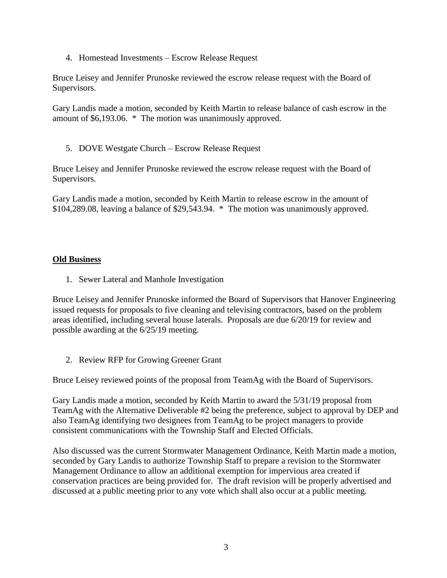4. Homestead Investments – Escrow Release Request

Bruce Leisey and Jennifer Prunoske reviewed the escrow release request with the Board of Supervisors.

Gary Landis made a motion, seconded by Keith Martin to release balance of cash escrow in the amount of \$6,193.06. \* The motion was unanimously approved.

5. DOVE Westgate Church – Escrow Release Request

Bruce Leisey and Jennifer Prunoske reviewed the escrow release request with the Board of Supervisors.

Gary Landis made a motion, seconded by Keith Martin to release escrow in the amount of \$104,289.08, leaving a balance of \$29,543.94. \* The motion was unanimously approved.

# **Old Business**

1. Sewer Lateral and Manhole Investigation

Bruce Leisey and Jennifer Prunoske informed the Board of Supervisors that Hanover Engineering issued requests for proposals to five cleaning and televising contractors, based on the problem areas identified, including several house laterals. Proposals are due 6/20/19 for review and possible awarding at the 6/25/19 meeting.

2. Review RFP for Growing Greener Grant

Bruce Leisey reviewed points of the proposal from TeamAg with the Board of Supervisors.

Gary Landis made a motion, seconded by Keith Martin to award the 5/31/19 proposal from TeamAg with the Alternative Deliverable #2 being the preference, subject to approval by DEP and also TeamAg identifying two designees from TeamAg to be project managers to provide consistent communications with the Township Staff and Elected Officials.

Also discussed was the current Stormwater Management Ordinance, Keith Martin made a motion, seconded by Gary Landis to authorize Township Staff to prepare a revision to the Stormwater Management Ordinance to allow an additional exemption for impervious area created if conservation practices are being provided for. The draft revision will be properly advertised and discussed at a public meeting prior to any vote which shall also occur at a public meeting.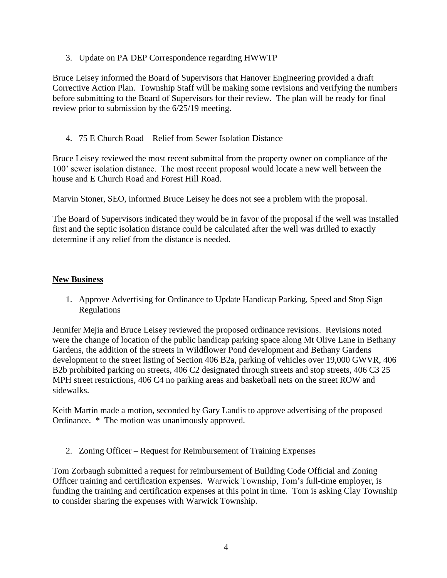3. Update on PA DEP Correspondence regarding HWWTP

Bruce Leisey informed the Board of Supervisors that Hanover Engineering provided a draft Corrective Action Plan. Township Staff will be making some revisions and verifying the numbers before submitting to the Board of Supervisors for their review. The plan will be ready for final review prior to submission by the 6/25/19 meeting.

4. 75 E Church Road – Relief from Sewer Isolation Distance

Bruce Leisey reviewed the most recent submittal from the property owner on compliance of the 100' sewer isolation distance. The most recent proposal would locate a new well between the house and E Church Road and Forest Hill Road.

Marvin Stoner, SEO, informed Bruce Leisey he does not see a problem with the proposal.

The Board of Supervisors indicated they would be in favor of the proposal if the well was installed first and the septic isolation distance could be calculated after the well was drilled to exactly determine if any relief from the distance is needed.

### **New Business**

1. Approve Advertising for Ordinance to Update Handicap Parking, Speed and Stop Sign Regulations

Jennifer Mejia and Bruce Leisey reviewed the proposed ordinance revisions. Revisions noted were the change of location of the public handicap parking space along Mt Olive Lane in Bethany Gardens, the addition of the streets in Wildflower Pond development and Bethany Gardens development to the street listing of Section 406 B2a, parking of vehicles over 19,000 GWVR, 406 B2b prohibited parking on streets, 406 C2 designated through streets and stop streets, 406 C3 25 MPH street restrictions, 406 C4 no parking areas and basketball nets on the street ROW and sidewalks.

Keith Martin made a motion, seconded by Gary Landis to approve advertising of the proposed Ordinance. \* The motion was unanimously approved.

2. Zoning Officer – Request for Reimbursement of Training Expenses

Tom Zorbaugh submitted a request for reimbursement of Building Code Official and Zoning Officer training and certification expenses. Warwick Township, Tom's full-time employer, is funding the training and certification expenses at this point in time. Tom is asking Clay Township to consider sharing the expenses with Warwick Township.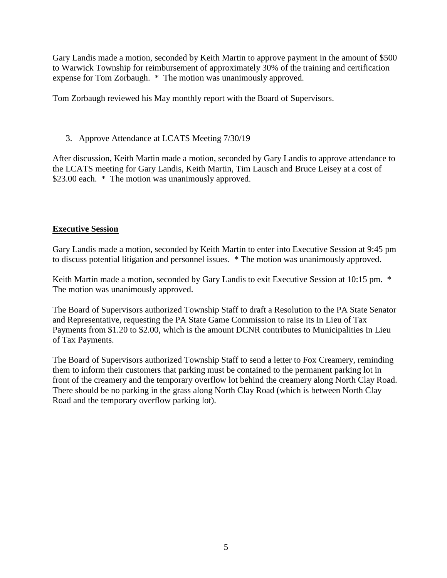Gary Landis made a motion, seconded by Keith Martin to approve payment in the amount of \$500 to Warwick Township for reimbursement of approximately 30% of the training and certification expense for Tom Zorbaugh. \* The motion was unanimously approved.

Tom Zorbaugh reviewed his May monthly report with the Board of Supervisors.

# 3. Approve Attendance at LCATS Meeting 7/30/19

After discussion, Keith Martin made a motion, seconded by Gary Landis to approve attendance to the LCATS meeting for Gary Landis, Keith Martin, Tim Lausch and Bruce Leisey at a cost of \$23.00 each. \* The motion was unanimously approved.

# **Executive Session**

Gary Landis made a motion, seconded by Keith Martin to enter into Executive Session at 9:45 pm to discuss potential litigation and personnel issues. \* The motion was unanimously approved.

Keith Martin made a motion, seconded by Gary Landis to exit Executive Session at 10:15 pm.  $*$ The motion was unanimously approved.

The Board of Supervisors authorized Township Staff to draft a Resolution to the PA State Senator and Representative, requesting the PA State Game Commission to raise its In Lieu of Tax Payments from \$1.20 to \$2.00, which is the amount DCNR contributes to Municipalities In Lieu of Tax Payments.

The Board of Supervisors authorized Township Staff to send a letter to Fox Creamery, reminding them to inform their customers that parking must be contained to the permanent parking lot in front of the creamery and the temporary overflow lot behind the creamery along North Clay Road. There should be no parking in the grass along North Clay Road (which is between North Clay Road and the temporary overflow parking lot).